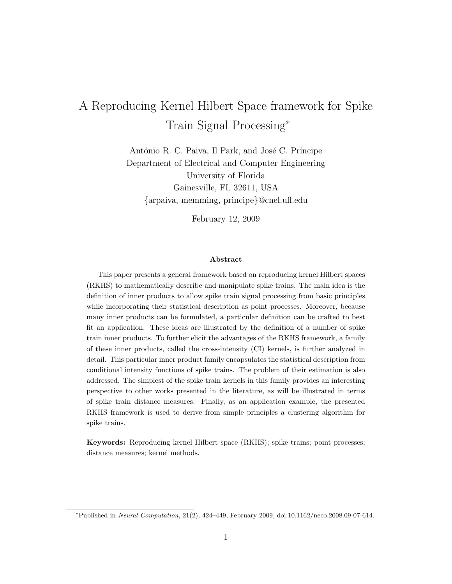# A Reproducing Kernel Hilbert Space framework for Spike Train Signal Processing*<sup>∗</sup>*

António R. C. Paiva, Il Park, and José C. Príncipe Department of Electrical and Computer Engineering University of Florida Gainesville, FL 32611, USA *{*arpaiva, memming, principe*}*@cnel.ufl.edu

February 12, 2009

#### **Abstract**

This paper presents a general framework based on reproducing kernel Hilbert spaces (RKHS) to mathematically describe and manipulate spike trains. The main idea is the definition of inner products to allow spike train signal processing from basic principles while incorporating their statistical description as point processes. Moreover, because many inner products can be formulated, a particular definition can be crafted to best fit an application. These ideas are illustrated by the definition of a number of spike train inner products. To further elicit the advantages of the RKHS framework, a family of these inner products, called the cross-intensity (CI) kernels, is further analyzed in detail. This particular inner product family encapsulates the statistical description from conditional intensity functions of spike trains. The problem of their estimation is also addressed. The simplest of the spike train kernels in this family provides an interesting perspective to other works presented in the literature, as will be illustrated in terms of spike train distance measures. Finally, as an application example, the presented RKHS framework is used to derive from simple principles a clustering algorithm for spike trains.

**Keywords:** Reproducing kernel Hilbert space (RKHS); spike trains; point processes; distance measures; kernel methods.

*<sup>∗</sup>*Published in *Neural Computation*, 21(2), 424–449, February 2009, doi:10.1162/neco.2008.09-07-614.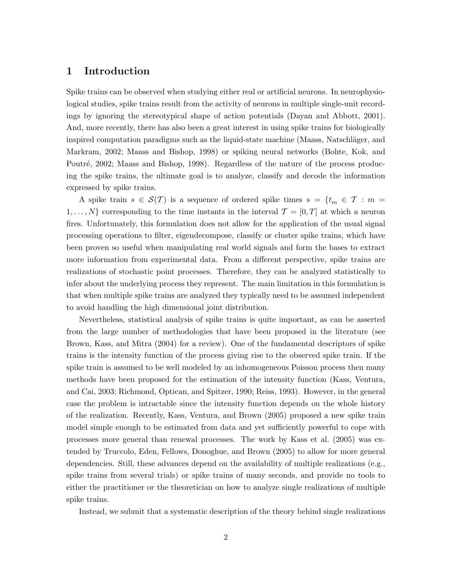### **1 Introduction**

Spike trains can be observed when studying either real or artificial neurons. In neurophysiological studies, spike trains result from the activity of neurons in multiple single-unit recordings by ignoring the stereotypical shape of action potentials (Dayan and Abbott, 2001). And, more recently, there has also been a great interest in using spike trains for biologically inspired computation paradigms such as the liquid-state machine (Maass, Natschläger, and Markram, 2002; Maass and Bishop, 1998) or spiking neural networks (Bohte, Kok, and Poutré, 2002; Maass and Bishop, 1998). Regardless of the nature of the process producing the spike trains, the ultimate goal is to analyze, classify and decode the information expressed by spike trains.

A spike train  $s \in \mathcal{S}(\mathcal{T})$  is a sequence of ordered spike times  $s = \{t_m \in \mathcal{T} : m = \mathcal{T} \}$  $1, \ldots, N$ } corresponding to the time instants in the interval  $\mathcal{T} = [0, T]$  at which a neuron fires. Unfortunately, this formulation does not allow for the application of the usual signal processing operations to filter, eigendecompose, classify or cluster spike trains, which have been proven so useful when manipulating real world signals and form the bases to extract more information from experimental data. From a different perspective, spike trains are realizations of stochastic point processes. Therefore, they can be analyzed statistically to infer about the underlying process they represent. The main limitation in this formulation is that when multiple spike trains are analyzed they typically need to be assumed independent to avoid handling the high dimensional joint distribution.

Nevertheless, statistical analysis of spike trains is quite important, as can be asserted from the large number of methodologies that have been proposed in the literature (see Brown, Kass, and Mitra (2004) for a review). One of the fundamental descriptors of spike trains is the intensity function of the process giving rise to the observed spike train. If the spike train is assumed to be well modeled by an inhomogeneous Poisson process then many methods have been proposed for the estimation of the intensity function (Kass, Ventura, and Cai, 2003; Richmond, Optican, and Spitzer, 1990; Reiss, 1993). However, in the general case the problem is intractable since the intensity function depends on the whole history of the realization. Recently, Kass, Ventura, and Brown (2005) proposed a new spike train model simple enough to be estimated from data and yet sufficiently powerful to cope with processes more general than renewal processes. The work by Kass et al. (2005) was extended by Truccolo, Eden, Fellows, Donoghue, and Brown (2005) to allow for more general dependencies. Still, these advances depend on the availability of multiple realizations (e.g., spike trains from several trials) or spike trains of many seconds, and provide no tools to either the practitioner or the theoretician on how to analyze single realizations of multiple spike trains.

Instead, we submit that a systematic description of the theory behind single realizations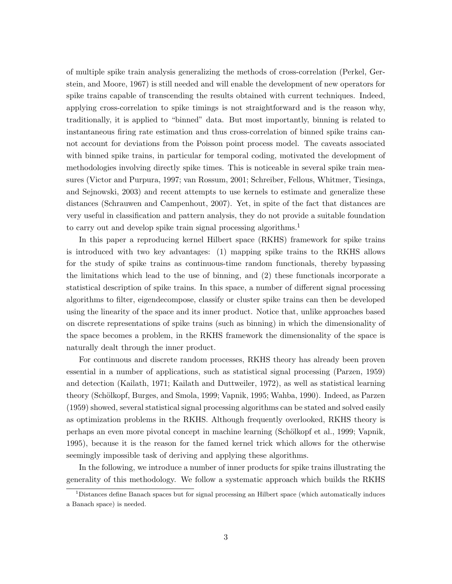of multiple spike train analysis generalizing the methods of cross-correlation (Perkel, Gerstein, and Moore, 1967) is still needed and will enable the development of new operators for spike trains capable of transcending the results obtained with current techniques. Indeed, applying cross-correlation to spike timings is not straightforward and is the reason why, traditionally, it is applied to "binned" data. But most importantly, binning is related to instantaneous firing rate estimation and thus cross-correlation of binned spike trains cannot account for deviations from the Poisson point process model. The caveats associated with binned spike trains, in particular for temporal coding, motivated the development of methodologies involving directly spike times. This is noticeable in several spike train measures (Victor and Purpura, 1997; van Rossum, 2001; Schreiber, Fellous, Whitmer, Tiesinga, and Sejnowski, 2003) and recent attempts to use kernels to estimate and generalize these distances (Schrauwen and Campenhout, 2007). Yet, in spite of the fact that distances are very useful in classification and pattern analysis, they do not provide a suitable foundation to carry out and develop spike train signal processing algorithms.<sup>1</sup>

In this paper a reproducing kernel Hilbert space (RKHS) framework for spike trains is introduced with two key advantages: (1) mapping spike trains to the RKHS allows for the study of spike trains as continuous-time random functionals, thereby bypassing the limitations which lead to the use of binning, and (2) these functionals incorporate a statistical description of spike trains. In this space, a number of different signal processing algorithms to filter, eigendecompose, classify or cluster spike trains can then be developed using the linearity of the space and its inner product. Notice that, unlike approaches based on discrete representations of spike trains (such as binning) in which the dimensionality of the space becomes a problem, in the RKHS framework the dimensionality of the space is naturally dealt through the inner product.

For continuous and discrete random processes, RKHS theory has already been proven essential in a number of applications, such as statistical signal processing (Parzen, 1959) and detection (Kailath, 1971; Kailath and Duttweiler, 1972), as well as statistical learning theory (Schölkopf, Burges, and Smola, 1999; Vapnik, 1995; Wahba, 1990). Indeed, as Parzen (1959) showed, several statistical signal processing algorithms can be stated and solved easily as optimization problems in the RKHS. Although frequently overlooked, RKHS theory is perhaps an even more pivotal concept in machine learning (Sch¨olkopf et al., 1999; Vapnik, 1995), because it is the reason for the famed kernel trick which allows for the otherwise seemingly impossible task of deriving and applying these algorithms.

In the following, we introduce a number of inner products for spike trains illustrating the generality of this methodology. We follow a systematic approach which builds the RKHS

 $1$ Distances define Banach spaces but for signal processing an Hilbert space (which automatically induces a Banach space) is needed.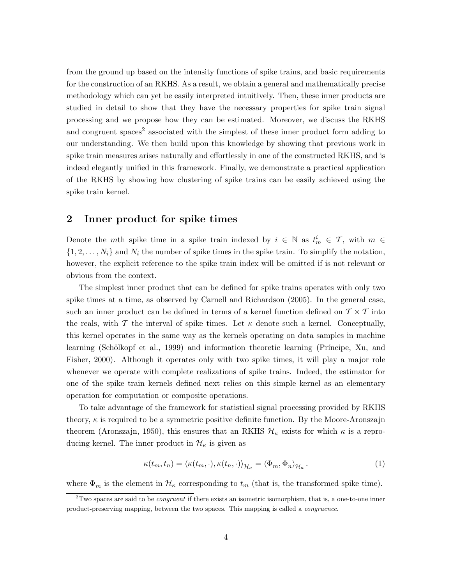from the ground up based on the intensity functions of spike trains, and basic requirements for the construction of an RKHS. As a result, we obtain a general and mathematically precise methodology which can yet be easily interpreted intuitively. Then, these inner products are studied in detail to show that they have the necessary properties for spike train signal processing and we propose how they can be estimated. Moreover, we discuss the RKHS and congruent spaces<sup>2</sup> associated with the simplest of these inner product form adding to our understanding. We then build upon this knowledge by showing that previous work in spike train measures arises naturally and effortlessly in one of the constructed RKHS, and is indeed elegantly unified in this framework. Finally, we demonstrate a practical application of the RKHS by showing how clustering of spike trains can be easily achieved using the spike train kernel.

### **2 Inner product for spike times**

Denote the *m*th spike time in a spike train indexed by  $i \in \mathbb{N}$  as  $t_m^i \in \mathcal{T}$ , with  $m \in$  $\{1, 2, \ldots, N_i\}$  and  $N_i$  the number of spike times in the spike train. To simplify the notation, however, the explicit reference to the spike train index will be omitted if is not relevant or obvious from the context.

The simplest inner product that can be defined for spike trains operates with only two spike times at a time, as observed by Carnell and Richardson (2005). In the general case, such an inner product can be defined in terms of a kernel function defined on  $\mathcal{T} \times \mathcal{T}$  into the reals, with  $\mathcal T$  the interval of spike times. Let  $\kappa$  denote such a kernel. Conceptually, this kernel operates in the same way as the kernels operating on data samples in machine learning (Schölkopf et al., 1999) and information theoretic learning (Príncipe, Xu, and Fisher, 2000). Although it operates only with two spike times, it will play a major role whenever we operate with complete realizations of spike trains. Indeed, the estimator for one of the spike train kernels defined next relies on this simple kernel as an elementary operation for computation or composite operations.

To take advantage of the framework for statistical signal processing provided by RKHS theory, *κ* is required to be a symmetric positive definite function. By the Moore-Aronszajn theorem (Aronszajn, 1950), this ensures that an RKHS  $H_{\kappa}$  exists for which  $\kappa$  is a reproducing kernel. The inner product in  $\mathcal{H}_{\kappa}$  is given as

$$
\kappa(t_m, t_n) = \langle \kappa(t_m, \cdot), \kappa(t_n, \cdot) \rangle_{\mathcal{H}_\kappa} = \langle \Phi_m, \Phi_n \rangle_{\mathcal{H}_\kappa}.
$$
 (1)

where  $\Phi_m$  is the element in  $\mathcal{H}_\kappa$  corresponding to  $t_m$  (that is, the transformed spike time).

<sup>2</sup>Two spaces are said to be *congruent* if there exists an isometric isomorphism, that is, a one-to-one inner product-preserving mapping, between the two spaces. This mapping is called a *congruence*.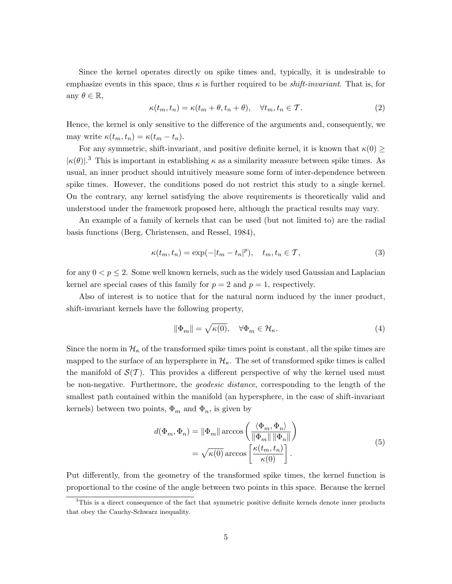Since the kernel operates directly on spike times and, typically, it is undesirable to emphasize events in this space, thus  $\kappa$  is further required to be *shift-invariant*. That is, for any  $\theta \in \mathbb{R}$ ,

$$
\kappa(t_m, t_n) = \kappa(t_m + \theta, t_n + \theta), \quad \forall t_m, t_n \in \mathcal{T}.
$$
\n
$$
(2)
$$

Hence, the kernel is only sensitive to the difference of the arguments and, consequently, we may write  $\kappa(t_m, t_n) = \kappa(t_m - t_n)$ .

For any symmetric, shift-invariant, and positive definite kernel, it is known that  $\kappa(0) \geq$  $|\kappa(\theta)|^3$ . This is important in establishing  $\kappa$  as a similarity measure between spike times. As usual, an inner product should intuitively measure some form of inter-dependence between spike times. However, the conditions posed do not restrict this study to a single kernel. On the contrary, any kernel satisfying the above requirements is theoretically valid and understood under the framework proposed here, although the practical results may vary.

An example of a family of kernels that can be used (but not limited to) are the radial basis functions (Berg, Christensen, and Ressel, 1984),

$$
\kappa(t_m, t_n) = \exp(-|t_m - t_n|^p), \quad t_m, t_n \in \mathcal{T},
$$
\n(3)

for any  $0 < p \leq 2$ . Some well known kernels, such as the widely used Gaussian and Laplacian kernel are special cases of this family for  $p = 2$  and  $p = 1$ , respectively.

Also of interest is to notice that for the natural norm induced by the inner product, shift-invariant kernels have the following property,

$$
\|\Phi_m\| = \sqrt{\kappa(0)}, \quad \forall \Phi_m \in \mathcal{H}_\kappa. \tag{4}
$$

Since the norm in  $\mathcal{H}_{\kappa}$  of the transformed spike times point is constant, all the spike times are mapped to the surface of an hypersphere in  $\mathcal{H}_{\kappa}$ . The set of transformed spike times is called the manifold of  $\mathcal{S}(\mathcal{T})$ . This provides a different perspective of why the kernel used must be non-negative. Furthermore, the *geodesic distance*, corresponding to the length of the smallest path contained within the manifold (an hypersphere, in the case of shift-invariant kernels) between two points,  $\Phi_m$  and  $\Phi_n$ , is given by

$$
d(\Phi_m, \Phi_n) = \|\Phi_m\| \arccos\left(\frac{\langle \Phi_m, \Phi_n \rangle}{\|\Phi_m\| \|\Phi_n\|}\right)
$$

$$
= \sqrt{\kappa(0)} \arccos\left[\frac{\kappa(t_m, t_n)}{\kappa(0)}\right].
$$
(5)

Put differently, from the geometry of the transformed spike times, the kernel function is proportional to the cosine of the angle between two points in this space. Because the kernel

 $3$ This is a direct consequence of the fact that symmetric positive definite kernels denote inner products that obey the Cauchy-Schwarz inequality.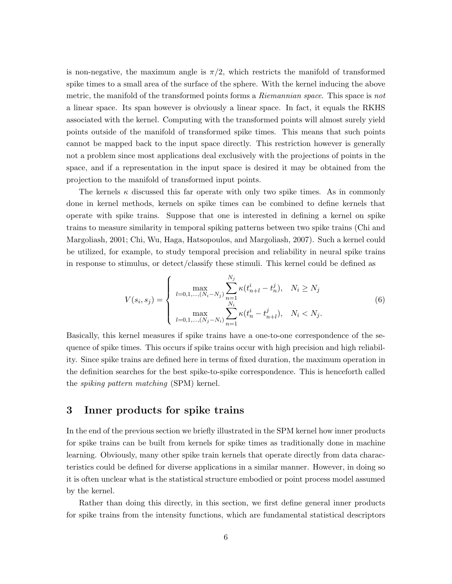is non-negative, the maximum angle is  $\pi/2$ , which restricts the manifold of transformed spike times to a small area of the surface of the sphere. With the kernel inducing the above metric, the manifold of the transformed points forms a *Riemannian space*. This space is *not* a linear space. Its span however is obviously a linear space. In fact, it equals the RKHS associated with the kernel. Computing with the transformed points will almost surely yield points outside of the manifold of transformed spike times. This means that such points cannot be mapped back to the input space directly. This restriction however is generally not a problem since most applications deal exclusively with the projections of points in the space, and if a representation in the input space is desired it may be obtained from the projection to the manifold of transformed input points.

The kernels  $\kappa$  discussed this far operate with only two spike times. As in commonly done in kernel methods, kernels on spike times can be combined to define kernels that operate with spike trains. Suppose that one is interested in defining a kernel on spike trains to measure similarity in temporal spiking patterns between two spike trains (Chi and Margoliash, 2001; Chi, Wu, Haga, Hatsopoulos, and Margoliash, 2007). Such a kernel could be utilized, for example, to study temporal precision and reliability in neural spike trains in response to stimulus, or detect/classify these stimuli. This kernel could be defined as

$$
V(s_i, s_j) = \begin{cases} \max_{l=0,1,\dots,(N_i-N_j)} \sum_{n=1}^{N_j} \kappa(t_{n+l}^i - t_n^j), & N_i \ge N_j\\ \max_{l=0,1,\dots,(N_j-N_i)} \sum_{n=1}^{N_i} \kappa(t_n^i - t_{n+l}^j), & N_i < N_j. \end{cases} \tag{6}
$$

Basically, this kernel measures if spike trains have a one-to-one correspondence of the sequence of spike times. This occurs if spike trains occur with high precision and high reliability. Since spike trains are defined here in terms of fixed duration, the maximum operation in the definition searches for the best spike-to-spike correspondence. This is henceforth called the *spiking pattern matching* (SPM) kernel.

### **3 Inner products for spike trains**

In the end of the previous section we briefly illustrated in the SPM kernel how inner products for spike trains can be built from kernels for spike times as traditionally done in machine learning. Obviously, many other spike train kernels that operate directly from data characteristics could be defined for diverse applications in a similar manner. However, in doing so it is often unclear what is the statistical structure embodied or point process model assumed by the kernel.

Rather than doing this directly, in this section, we first define general inner products for spike trains from the intensity functions, which are fundamental statistical descriptors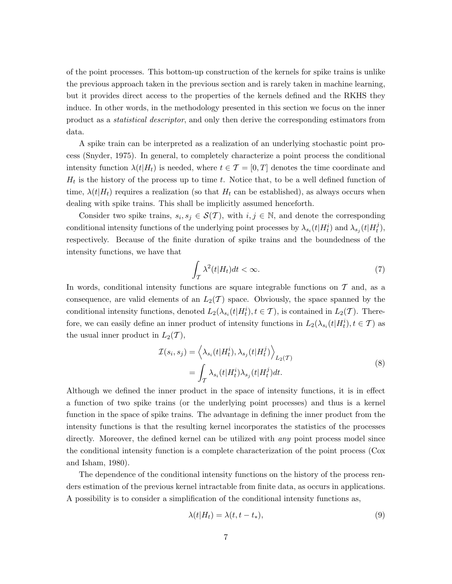of the point processes. This bottom-up construction of the kernels for spike trains is unlike the previous approach taken in the previous section and is rarely taken in machine learning, but it provides direct access to the properties of the kernels defined and the RKHS they induce. In other words, in the methodology presented in this section we focus on the inner product as a *statistical descriptor*, and only then derive the corresponding estimators from data.

A spike train can be interpreted as a realization of an underlying stochastic point process (Snyder, 1975). In general, to completely characterize a point process the conditional intensity function  $\lambda(t|H_t)$  is needed, where  $t \in \mathcal{T} = [0,T]$  denotes the time coordinate and *H<sup>t</sup>* is the history of the process up to time *t*. Notice that, to be a well defined function of time,  $\lambda(t|H_t)$  requires a realization (so that  $H_t$  can be established), as always occurs when dealing with spike trains. This shall be implicitly assumed henceforth.

Consider two spike trains,  $s_i, s_j \in S(T)$ , with  $i, j \in \mathbb{N}$ , and denote the corresponding conditional intensity functions of the underlying point processes by  $\lambda_{s_i}(t|H_t^i)$  and  $\lambda_{s_j}(t|H_t^j)$ *t* ), respectively. Because of the finite duration of spike trains and the boundedness of the intensity functions, we have that

$$
\int_{\mathcal{T}} \lambda^2(t|H_t)dt < \infty. \tag{7}
$$

In words, conditional intensity functions are square integrable functions on *T* and, as a consequence, are valid elements of an  $L_2(\mathcal{T})$  space. Obviously, the space spanned by the conditional intensity functions, denoted  $L_2(\lambda_{s_i}(t|H_t^i), t \in \mathcal{T})$ , is contained in  $L_2(\mathcal{T})$ . Therefore, we can easily define an inner product of intensity functions in  $L_2(\lambda_{s_i}(t|H_t^i), t \in \mathcal{T})$  as the usual inner product in  $L_2(\mathcal{T})$ ,

$$
\mathcal{I}(s_i, s_j) = \left\langle \lambda_{s_i}(t | H_t^i), \lambda_{s_j}(t | H_t^j) \right\rangle_{L_2(\mathcal{T})}
$$
\n
$$
= \int_{\mathcal{T}} \lambda_{s_i}(t | H_t^i) \lambda_{s_j}(t | H_t^j) dt.
$$
\n(8)

Although we defined the inner product in the space of intensity functions, it is in effect a function of two spike trains (or the underlying point processes) and thus is a kernel function in the space of spike trains. The advantage in defining the inner product from the intensity functions is that the resulting kernel incorporates the statistics of the processes directly. Moreover, the defined kernel can be utilized with *any* point process model since the conditional intensity function is a complete characterization of the point process (Cox and Isham, 1980).

The dependence of the conditional intensity functions on the history of the process renders estimation of the previous kernel intractable from finite data, as occurs in applications. A possibility is to consider a simplification of the conditional intensity functions as,

$$
\lambda(t|H_t) = \lambda(t, t - t_*),\tag{9}
$$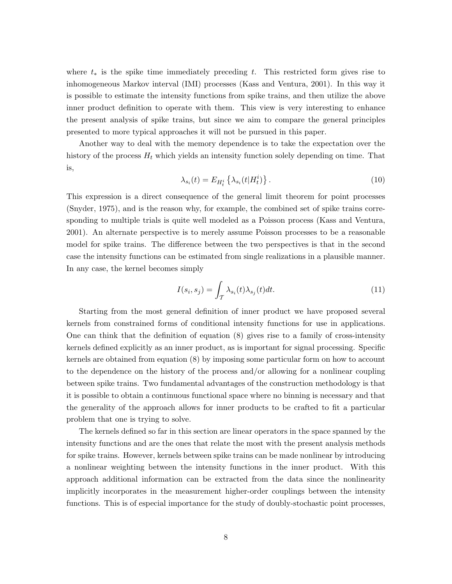where *t<sup>∗</sup>* is the spike time immediately preceding *t*. This restricted form gives rise to inhomogeneous Markov interval (IMI) processes (Kass and Ventura, 2001). In this way it is possible to estimate the intensity functions from spike trains, and then utilize the above inner product definition to operate with them. This view is very interesting to enhance the present analysis of spike trains, but since we aim to compare the general principles presented to more typical approaches it will not be pursued in this paper.

Another way to deal with the memory dependence is to take the expectation over the history of the process  $H_t$  which yields an intensity function solely depending on time. That is,

$$
\lambda_{s_i}(t) = E_{H_t^i} \left\{ \lambda_{s_i}(t | H_t^i) \right\}.
$$
\n
$$
(10)
$$

This expression is a direct consequence of the general limit theorem for point processes (Snyder, 1975), and is the reason why, for example, the combined set of spike trains corresponding to multiple trials is quite well modeled as a Poisson process (Kass and Ventura, 2001). An alternate perspective is to merely assume Poisson processes to be a reasonable model for spike trains. The difference between the two perspectives is that in the second case the intensity functions can be estimated from single realizations in a plausible manner. In any case, the kernel becomes simply

$$
I(s_i, s_j) = \int_{\mathcal{T}} \lambda_{s_i}(t) \lambda_{s_j}(t) dt.
$$
\n(11)

Starting from the most general definition of inner product we have proposed several kernels from constrained forms of conditional intensity functions for use in applications. One can think that the definition of equation (8) gives rise to a family of cross-intensity kernels defined explicitly as an inner product, as is important for signal processing. Specific kernels are obtained from equation (8) by imposing some particular form on how to account to the dependence on the history of the process and/or allowing for a nonlinear coupling between spike trains. Two fundamental advantages of the construction methodology is that it is possible to obtain a continuous functional space where no binning is necessary and that the generality of the approach allows for inner products to be crafted to fit a particular problem that one is trying to solve.

The kernels defined so far in this section are linear operators in the space spanned by the intensity functions and are the ones that relate the most with the present analysis methods for spike trains. However, kernels between spike trains can be made nonlinear by introducing a nonlinear weighting between the intensity functions in the inner product. With this approach additional information can be extracted from the data since the nonlinearity implicitly incorporates in the measurement higher-order couplings between the intensity functions. This is of especial importance for the study of doubly-stochastic point processes,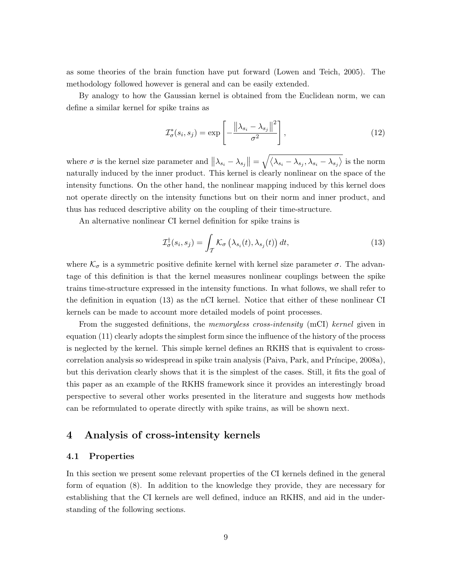as some theories of the brain function have put forward (Lowen and Teich, 2005). The methodology followed however is general and can be easily extended.

By analogy to how the Gaussian kernel is obtained from the Euclidean norm, we can define a similar kernel for spike trains as

$$
\mathcal{I}_{\sigma}^*(s_i, s_j) = \exp\left[-\frac{\left\|\lambda_{s_i} - \lambda_{s_j}\right\|^2}{\sigma^2}\right],\tag{12}
$$

where  $\sigma$  is the kernel size parameter and  $||\lambda_{s_i} - \lambda_{s_j}|| = \sqrt{\langle \lambda_{s_i} - \lambda_{s_j}, \lambda_{s_i} - \lambda_{s_j} \rangle}$  is the norm naturally induced by the inner product. This kernel is clearly nonlinear on the space of the intensity functions. On the other hand, the nonlinear mapping induced by this kernel does not operate directly on the intensity functions but on their norm and inner product, and thus has reduced descriptive ability on the coupling of their time-structure.

An alternative nonlinear CI kernel definition for spike trains is

$$
\mathcal{I}_{\sigma}^{\dagger}(s_i, s_j) = \int_{\mathcal{T}} \mathcal{K}_{\sigma} \left( \lambda_{s_i}(t), \lambda_{s_j}(t) \right) dt, \tag{13}
$$

where  $\mathcal{K}_{\sigma}$  is a symmetric positive definite kernel with kernel size parameter  $\sigma$ . The advantage of this definition is that the kernel measures nonlinear couplings between the spike trains time-structure expressed in the intensity functions. In what follows, we shall refer to the definition in equation (13) as the nCI kernel. Notice that either of these nonlinear CI kernels can be made to account more detailed models of point processes.

From the suggested definitions, the *memoryless cross-intensity* (mCI) *kernel* given in equation (11) clearly adopts the simplest form since the influence of the history of the process is neglected by the kernel. This simple kernel defines an RKHS that is equivalent to crosscorrelation analysis so widespread in spike train analysis (Paiva, Park, and Príncipe, 2008a), but this derivation clearly shows that it is the simplest of the cases. Still, it fits the goal of this paper as an example of the RKHS framework since it provides an interestingly broad perspective to several other works presented in the literature and suggests how methods can be reformulated to operate directly with spike trains, as will be shown next.

### **4 Analysis of cross-intensity kernels**

#### **4.1 Properties**

In this section we present some relevant properties of the CI kernels defined in the general form of equation (8). In addition to the knowledge they provide, they are necessary for establishing that the CI kernels are well defined, induce an RKHS, and aid in the understanding of the following sections.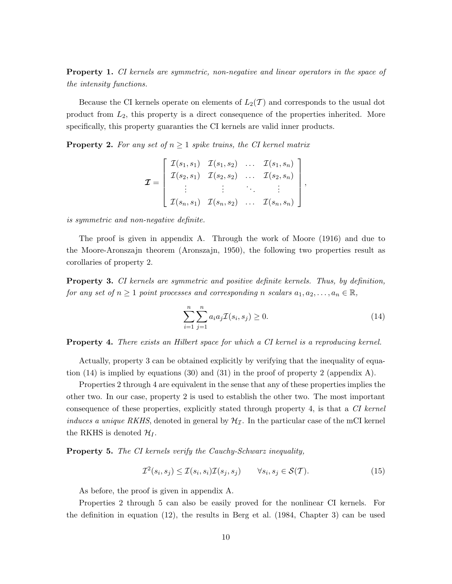**Property 1.** *CI kernels are symmetric, non-negative and linear operators in the space of the intensity functions.*

Because the CI kernels operate on elements of  $L_2(\mathcal{T})$  and corresponds to the usual dot product from *L*2, this property is a direct consequence of the properties inherited. More specifically, this property guaranties the CI kernels are valid inner products.

**Property 2.** For any set of  $n \geq 1$  spike trains, the CI kernel matrix

$$
\mathcal{I} = \begin{bmatrix} \mathcal{I}(s_1, s_1) & \mathcal{I}(s_1, s_2) & \dots & \mathcal{I}(s_1, s_n) \\ \mathcal{I}(s_2, s_1) & \mathcal{I}(s_2, s_2) & \dots & \mathcal{I}(s_2, s_n) \\ \vdots & \vdots & \ddots & \vdots \\ \mathcal{I}(s_n, s_1) & \mathcal{I}(s_n, s_2) & \dots & \mathcal{I}(s_n, s_n) \end{bmatrix},
$$

*is symmetric and non-negative definite.*

The proof is given in appendix A. Through the work of Moore (1916) and due to the Moore-Aronszajn theorem (Aronszajn, 1950), the following two properties result as corollaries of property 2.

**Property 3.** *CI kernels are symmetric and positive definite kernels. Thus, by definition, for any set of*  $n \geq 1$  *point processes and corresponding n scalars*  $a_1, a_2, \ldots, a_n \in \mathbb{R}$ *,* 

$$
\sum_{i=1}^{n} \sum_{j=1}^{n} a_i a_j \mathcal{I}(s_i, s_j) \ge 0.
$$
 (14)

**Property 4.** *There exists an Hilbert space for which a CI kernel is a reproducing kernel.*

Actually, property 3 can be obtained explicitly by verifying that the inequality of equation  $(14)$  is implied by equations  $(30)$  and  $(31)$  in the proof of property 2 (appendix A).

Properties 2 through 4 are equivalent in the sense that any of these properties implies the other two. In our case, property 2 is used to establish the other two. The most important consequence of these properties, explicitly stated through property 4, is that a *CI kernel induces a unique RKHS*, denoted in general by  $H<sub>I</sub>$ . In the particular case of the mCI kernel the RKHS is denoted  $\mathcal{H}_I$ .

**Property 5.** *The CI kernels verify the Cauchy-Schwarz inequality,*

$$
\mathcal{I}^2(s_i, s_j) \le \mathcal{I}(s_i, s_i)\mathcal{I}(s_j, s_j) \qquad \forall s_i, s_j \in \mathcal{S}(\mathcal{T}).\tag{15}
$$

As before, the proof is given in appendix A.

Properties 2 through 5 can also be easily proved for the nonlinear CI kernels. For the definition in equation (12), the results in Berg et al. (1984, Chapter 3) can be used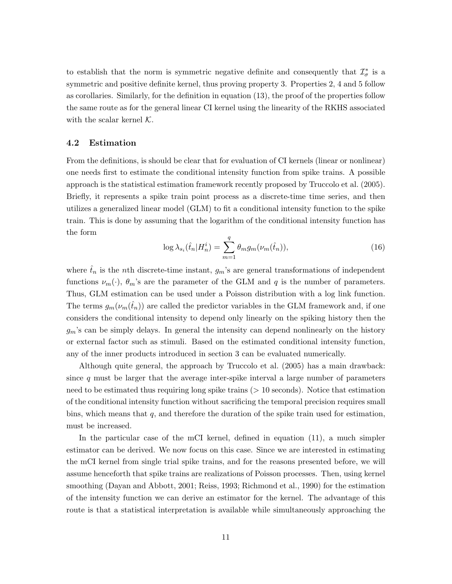to establish that the norm is symmetric negative definite and consequently that  $\mathcal{I}^*_{\sigma}$  is a symmetric and positive definite kernel, thus proving property 3. Properties 2, 4 and 5 follow as corollaries. Similarly, for the definition in equation (13), the proof of the properties follow the same route as for the general linear CI kernel using the linearity of the RKHS associated with the scalar kernel *K*.

#### **4.2 Estimation**

From the definitions, is should be clear that for evaluation of CI kernels (linear or nonlinear) one needs first to estimate the conditional intensity function from spike trains. A possible approach is the statistical estimation framework recently proposed by Truccolo et al. (2005). Briefly, it represents a spike train point process as a discrete-time time series, and then utilizes a generalized linear model (GLM) to fit a conditional intensity function to the spike train. This is done by assuming that the logarithm of the conditional intensity function has the form

$$
\log \lambda_{s_i}(\hat{t}_n | H_n^i) = \sum_{m=1}^q \theta_m g_m(\nu_m(\hat{t}_n)), \qquad (16)
$$

where  $\hat{t}_n$  is the *n*th discrete-time instant,  $g_m$ 's are general transformations of independent functions  $\nu_m(\cdot)$ ,  $\theta_m$ 's are the parameter of the GLM and *q* is the number of parameters. Thus, GLM estimation can be used under a Poisson distribution with a log link function. The terms  $g_m(\nu_m(\hat{t}_n))$  are called the predictor variables in the GLM framework and, if one considers the conditional intensity to depend only linearly on the spiking history then the *gm*'s can be simply delays. In general the intensity can depend nonlinearly on the history or external factor such as stimuli. Based on the estimated conditional intensity function, any of the inner products introduced in section 3 can be evaluated numerically.

Although quite general, the approach by Truccolo et al. (2005) has a main drawback: since *q* must be larger that the average inter-spike interval a large number of parameters need to be estimated thus requiring long spike trains (*>* 10 seconds). Notice that estimation of the conditional intensity function without sacrificing the temporal precision requires small bins, which means that *q*, and therefore the duration of the spike train used for estimation, must be increased.

In the particular case of the mCI kernel, defined in equation (11), a much simpler estimator can be derived. We now focus on this case. Since we are interested in estimating the mCI kernel from single trial spike trains, and for the reasons presented before, we will assume henceforth that spike trains are realizations of Poisson processes. Then, using kernel smoothing (Dayan and Abbott, 2001; Reiss, 1993; Richmond et al., 1990) for the estimation of the intensity function we can derive an estimator for the kernel. The advantage of this route is that a statistical interpretation is available while simultaneously approaching the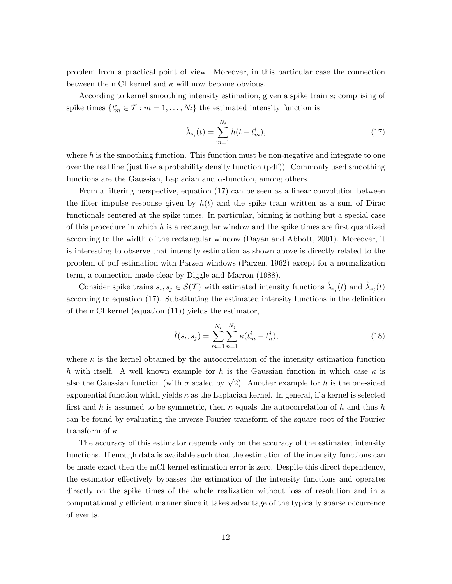problem from a practical point of view. Moreover, in this particular case the connection between the mCI kernel and *κ* will now become obvious.

According to kernel smoothing intensity estimation, given a spike train *s<sup>i</sup>* comprising of spike times  $\{t_m^i \in \mathcal{T} : m = 1, \ldots, N_i\}$  the estimated intensity function is

$$
\hat{\lambda}_{s_i}(t) = \sum_{m=1}^{N_i} h(t - t_m^i),
$$
\n(17)

where h is the smoothing function. This function must be non-negative and integrate to one over the real line (just like a probability density function (pdf)). Commonly used smoothing functions are the Gaussian, Laplacian and *α*-function, among others.

From a filtering perspective, equation (17) can be seen as a linear convolution between the filter impulse response given by  $h(t)$  and the spike train written as a sum of Dirac functionals centered at the spike times. In particular, binning is nothing but a special case of this procedure in which *h* is a rectangular window and the spike times are first quantized according to the width of the rectangular window (Dayan and Abbott, 2001). Moreover, it is interesting to observe that intensity estimation as shown above is directly related to the problem of pdf estimation with Parzen windows (Parzen, 1962) except for a normalization term, a connection made clear by Diggle and Marron (1988).

Consider spike trains  $s_i, s_j \in \mathcal{S}(\mathcal{T})$  with estimated intensity functions  $\hat{\lambda}_{s_i}(t)$  and  $\hat{\lambda}_{s_j}(t)$ according to equation (17). Substituting the estimated intensity functions in the definition of the mCI kernel (equation (11)) yields the estimator,

$$
\hat{I}(s_i, s_j) = \sum_{m=1}^{N_i} \sum_{n=1}^{N_j} \kappa(t_m^i - t_n^j),
$$
\n(18)

where  $\kappa$  is the kernel obtained by the autocorrelation of the intensity estimation function *h* with itself. A well known example for *h* is the Gaussian function in which case  $\kappa$  is also the Gaussian function (with  $\sigma$  scaled by  $\sqrt{2}$ ). Another example for *h* is the one-sided exponential function which yields *κ* as the Laplacian kernel. In general, if a kernel is selected first and *h* is assumed to be symmetric, then *κ* equals the autocorrelation of *h* and thus *h* can be found by evaluating the inverse Fourier transform of the square root of the Fourier transform of *κ*.

The accuracy of this estimator depends only on the accuracy of the estimated intensity functions. If enough data is available such that the estimation of the intensity functions can be made exact then the mCI kernel estimation error is zero. Despite this direct dependency, the estimator effectively bypasses the estimation of the intensity functions and operates directly on the spike times of the whole realization without loss of resolution and in a computationally efficient manner since it takes advantage of the typically sparse occurrence of events.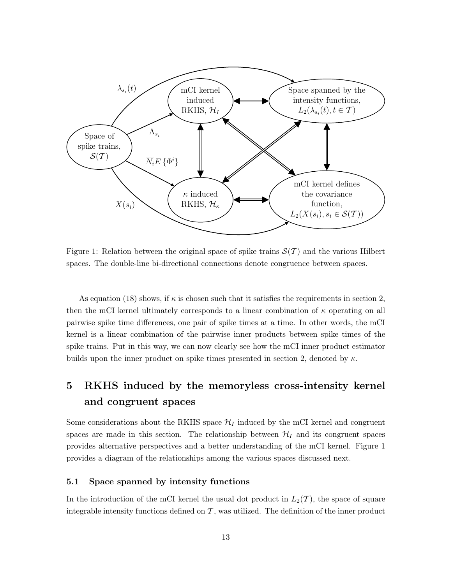

Figure 1: Relation between the original space of spike trains  $\mathcal{S}(\mathcal{T})$  and the various Hilbert spaces. The double-line bi-directional connections denote congruence between spaces.

As equation (18) shows, if  $\kappa$  is chosen such that it satisfies the requirements in section 2, then the mCI kernel ultimately corresponds to a linear combination of *κ* operating on all pairwise spike time differences, one pair of spike times at a time. In other words, the mCI kernel is a linear combination of the pairwise inner products between spike times of the spike trains. Put in this way, we can now clearly see how the mCI inner product estimator builds upon the inner product on spike times presented in section 2, denoted by *κ*.

# **5 RKHS induced by the memoryless cross-intensity kernel and congruent spaces**

Some considerations about the RKHS space  $\mathcal{H}_I$  induced by the mCI kernel and congruent spaces are made in this section. The relationship between  $\mathcal{H}_I$  and its congruent spaces provides alternative perspectives and a better understanding of the mCI kernel. Figure 1 provides a diagram of the relationships among the various spaces discussed next.

#### **5.1 Space spanned by intensity functions**

In the introduction of the mCI kernel the usual dot product in  $L_2(\mathcal{T})$ , the space of square integrable intensity functions defined on  $\mathcal{T}$ , was utilized. The definition of the inner product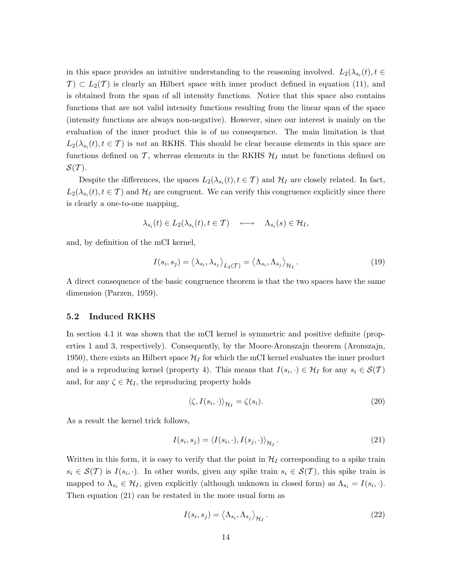in this space provides an intuitive understanding to the reasoning involved.  $L_2(\lambda_{s_i}(t), t \in$  $\mathcal{T}$   $\subset$  *L*<sub>2</sub>( $\mathcal{T}$ ) is clearly an Hilbert space with inner product defined in equation (11), and is obtained from the span of all intensity functions. Notice that this space also contains functions that are not valid intensity functions resulting from the linear span of the space (intensity functions are always non-negative). However, since our interest is mainly on the evaluation of the inner product this is of no consequence. The main limitation is that  $L_2(\lambda_{s_i}(t), t \in \mathcal{T})$  is *not* an RKHS. This should be clear because elements in this space are functions defined on  $\mathcal{T}$ , whereas elements in the RKHS  $\mathcal{H}_I$  must be functions defined on *S*(*T* ).

Despite the differences, the spaces  $L_2(\lambda_{s_i}(t), t \in \mathcal{T})$  and  $\mathcal{H}_I$  are closely related. In fact,  $L_2(\lambda_{s_i}(t), t \in \mathcal{T})$  and  $\mathcal{H}_I$  are congruent. We can verify this congruence explicitly since there is clearly a one-to-one mapping,

$$
\lambda_{s_i}(t) \in L_2(\lambda_{s_i}(t), t \in \mathcal{T}) \quad \longleftrightarrow \quad \Lambda_{s_i}(s) \in \mathcal{H}_I,
$$

and, by definition of the mCI kernel,

$$
I(s_i, s_j) = \langle \lambda_{s_i}, \lambda_{s_j} \rangle_{L_2(\mathcal{T})} = \langle \Lambda_{s_i}, \Lambda_{s_j} \rangle_{\mathcal{H}_I}.
$$
\n(19)

A direct consequence of the basic congruence theorem is that the two spaces have the same dimension (Parzen, 1959).

#### **5.2 Induced RKHS**

In section 4.1 it was shown that the mCI kernel is symmetric and positive definite (properties 1 and 3, respectively). Consequently, by the Moore-Aronszajn theorem (Aronszajn, 1950), there exists an Hilbert space  $\mathcal{H}_I$  for which the mCI kernel evaluates the inner product and is a reproducing kernel (property 4). This means that  $I(s_i, \cdot) \in \mathcal{H}_I$  for any  $s_i \in \mathcal{S}(\mathcal{T})$ and, for any  $\zeta \in \mathcal{H}_I$ , the reproducing property holds

$$
\langle \zeta, I(s_i, \cdot) \rangle_{\mathcal{H}_I} = \zeta(s_i). \tag{20}
$$

As a result the kernel trick follows,

$$
I(s_i, s_j) = \langle I(s_i, \cdot), I(s_j, \cdot) \rangle_{\mathcal{H}_I}.
$$
\n(21)

Written in this form, it is easy to verify that the point in  $\mathcal{H}_I$  corresponding to a spike train  $s_i \in S(T)$  is  $I(s_i, \cdot)$ . In other words, given any spike train  $s_i \in S(T)$ , this spike train is mapped to  $\Lambda_{s_i} \in \mathcal{H}_I$ , given explicitly (although unknown in closed form) as  $\Lambda_{s_i} = I(s_i, \cdot)$ . Then equation (21) can be restated in the more usual form as

$$
I(s_i, s_j) = \langle \Lambda_{s_i}, \Lambda_{s_j} \rangle_{\mathcal{H}_I}.
$$
\n(22)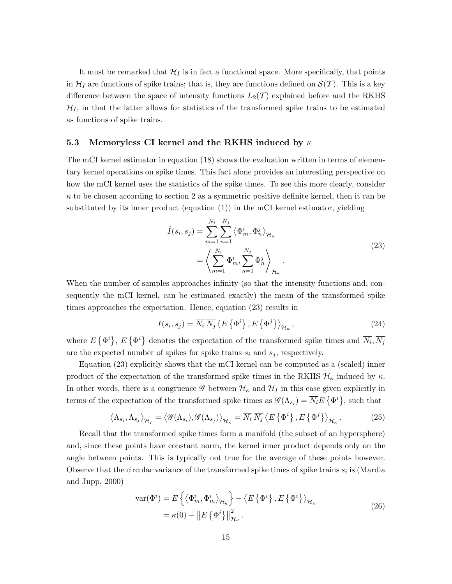It must be remarked that  $\mathcal{H}_I$  is in fact a functional space. More specifically, that points in  $\mathcal{H}_I$  are functions of spike trains; that is, they are functions defined on  $\mathcal{S}(\mathcal{T})$ . This is a key difference between the space of intensity functions  $L_2(\mathcal{T})$  explained before and the RKHS  $\mathcal{H}_I$ , in that the latter allows for statistics of the transformed spike trains to be estimated as functions of spike trains.

#### **5.3 Memoryless CI kernel and the RKHS induced by** *κ*

The mCI kernel estimator in equation (18) shows the evaluation written in terms of elementary kernel operations on spike times. This fact alone provides an interesting perspective on how the mCI kernel uses the statistics of the spike times. To see this more clearly, consider  $\kappa$  to be chosen according to section 2 as a symmetric positive definite kernel, then it can be substituted by its inner product (equation (1)) in the mCI kernel estimator, yielding

$$
\hat{I}(s_i, s_j) = \sum_{m=1}^{N_i} \sum_{n=1}^{N_j} \left\langle \Phi_m^i, \Phi_n^j \right\rangle_{\mathcal{H}_{\kappa}}
$$
\n
$$
= \left\langle \sum_{m=1}^{N_i} \Phi_m^i, \sum_{n=1}^{N_j} \Phi_n^j \right\rangle_{\mathcal{H}_{\kappa}}.
$$
\n(23)

When the number of samples approaches infinity (so that the intensity functions and, consequently the mCI kernel, can be estimated exactly) the mean of the transformed spike times approaches the expectation. Hence, equation (23) results in

$$
I(s_i, s_j) = \overline{N_i} \, \overline{N_j} \left\langle E\left\{\Phi^i\right\}, E\left\{\Phi^j\right\} \right\rangle_{\mathcal{H}_\kappa},\tag{24}
$$

where  $E\{\Phi^i\}$ ,  $E\{\Phi^i\}$  denotes the expectation of the transformed spike times and  $\overline{N_i}, \overline{N_j}$ are the expected number of spikes for spike trains  $s_i$  and  $s_j$ , respectively.

Equation (23) explicitly shows that the mCI kernel can be computed as a (scaled) inner product of the expectation of the transformed spike times in the RKHS  $\mathcal{H}_{\kappa}$  induced by  $\kappa$ . In other words, there is a congruence  $\mathscr G$  between  $\mathcal H_\kappa$  and  $\mathcal H_I$  in this case given explicitly in terms of the expectation of the transformed spike times as  $\mathscr{G}(\Lambda_{s_i}) = \overline{N_i} E\left\{\Phi^i\right\}$ , such that

$$
\left\langle \Lambda_{s_i}, \Lambda_{s_j} \right\rangle_{\mathcal{H}_I} = \left\langle \mathcal{G}(\Lambda_{s_i}), \mathcal{G}(\Lambda_{s_j}) \right\rangle_{\mathcal{H}_\kappa} = \overline{N_i} \, \overline{N_j} \left\langle E \left\{ \Phi^i \right\}, E \left\{ \Phi^j \right\} \right\rangle_{\mathcal{H}_\kappa} . \tag{25}
$$

Recall that the transformed spike times form a manifold (the subset of an hypersphere) and, since these points have constant norm, the kernel inner product depends only on the angle between points. This is typically not true for the average of these points however. Observe that the circular variance of the transformed spike times of spike trains  $s_i$  is (Mardia and Jupp, 2000)

$$
\begin{split} \text{var}(\Phi^i) &= E\left\{ \left\langle \Phi^i_m, \Phi^i_m \right\rangle_{\mathcal{H}_\kappa} \right\} - \left\langle E\left\{ \Phi^i \right\}, E\left\{ \Phi^i \right\} \right\rangle_{\mathcal{H}_\kappa} \\ &= \kappa(0) - \|E\left\{ \Phi^i \right\} \|^2_{\mathcal{H}_\kappa} \,. \end{split} \tag{26}
$$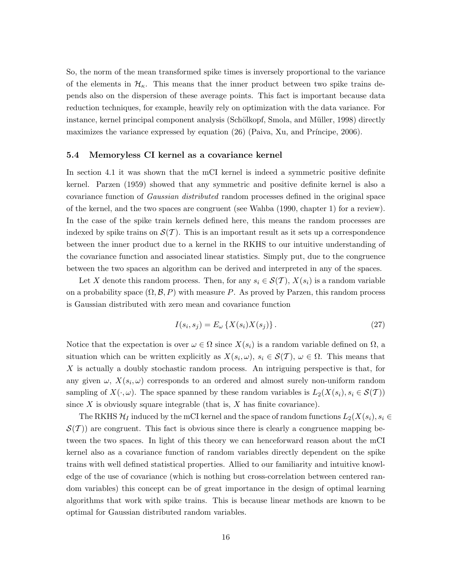So, the norm of the mean transformed spike times is inversely proportional to the variance of the elements in  $\mathcal{H}_{\kappa}$ . This means that the inner product between two spike trains depends also on the dispersion of these average points. This fact is important because data reduction techniques, for example, heavily rely on optimization with the data variance. For instance, kernel principal component analysis (Schölkopf, Smola, and Müller, 1998) directly maximizes the variance expressed by equation  $(26)$  (Paiva, Xu, and Príncipe, 2006).

#### **5.4 Memoryless CI kernel as a covariance kernel**

In section 4.1 it was shown that the mCI kernel is indeed a symmetric positive definite kernel. Parzen (1959) showed that any symmetric and positive definite kernel is also a covariance function of *Gaussian distributed* random processes defined in the original space of the kernel, and the two spaces are congruent (see Wahba (1990, chapter 1) for a review). In the case of the spike train kernels defined here, this means the random processes are indexed by spike trains on  $\mathcal{S}(\mathcal{T})$ . This is an important result as it sets up a correspondence between the inner product due to a kernel in the RKHS to our intuitive understanding of the covariance function and associated linear statistics. Simply put, due to the congruence between the two spaces an algorithm can be derived and interpreted in any of the spaces.

Let *X* denote this random process. Then, for any  $s_i \in S(\mathcal{T})$ ,  $X(s_i)$  is a random variable on a probability space  $(\Omega, \mathcal{B}, P)$  with measure P. As proved by Parzen, this random process is Gaussian distributed with zero mean and covariance function

$$
I(s_i, s_j) = E_{\omega} \left\{ X(s_i) X(s_j) \right\}.
$$
\n
$$
(27)
$$

Notice that the expectation is over  $\omega \in \Omega$  since  $X(s_i)$  is a random variable defined on  $\Omega$ , a situation which can be written explicitly as  $X(s_i, \omega)$ ,  $s_i \in S(T)$ ,  $\omega \in \Omega$ . This means that *X* is actually a doubly stochastic random process. An intriguing perspective is that, for any given  $\omega$ ,  $X(s_i, \omega)$  corresponds to an ordered and almost surely non-uniform random sampling of  $X(\cdot, \omega)$ . The space spanned by these random variables is  $L_2(X(s_i), s_i \in S(T))$ since *X* is obviously square integrable (that is, *X* has finite covariance).

The RKHS  $\mathcal{H}_I$  induced by the mCI kernel and the space of random functions  $L_2(X(s_i), s_i \in$  $S(\mathcal{T})$  are congruent. This fact is obvious since there is clearly a congruence mapping between the two spaces. In light of this theory we can henceforward reason about the mCI kernel also as a covariance function of random variables directly dependent on the spike trains with well defined statistical properties. Allied to our familiarity and intuitive knowledge of the use of covariance (which is nothing but cross-correlation between centered random variables) this concept can be of great importance in the design of optimal learning algorithms that work with spike trains. This is because linear methods are known to be optimal for Gaussian distributed random variables.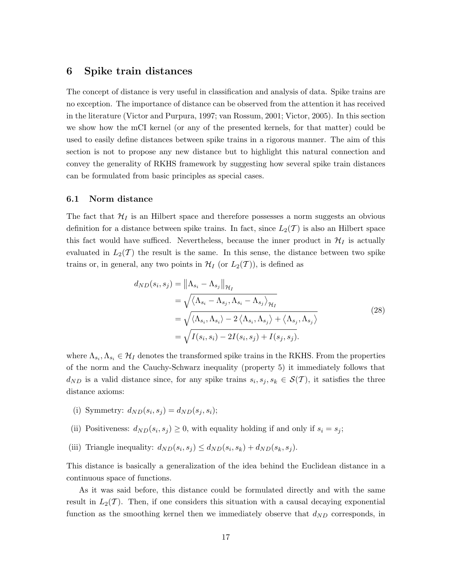### **6 Spike train distances**

The concept of distance is very useful in classification and analysis of data. Spike trains are no exception. The importance of distance can be observed from the attention it has received in the literature (Victor and Purpura, 1997; van Rossum, 2001; Victor, 2005). In this section we show how the mCI kernel (or any of the presented kernels, for that matter) could be used to easily define distances between spike trains in a rigorous manner. The aim of this section is not to propose any new distance but to highlight this natural connection and convey the generality of RKHS framework by suggesting how several spike train distances can be formulated from basic principles as special cases.

#### **6.1 Norm distance**

The fact that  $\mathcal{H}_I$  is an Hilbert space and therefore possesses a norm suggests an obvious definition for a distance between spike trains. In fact, since  $L_2(\mathcal{T})$  is also an Hilbert space this fact would have sufficed. Nevertheless, because the inner product in  $\mathcal{H}_I$  is actually evaluated in  $L_2(\mathcal{T})$  the result is the same. In this sense, the distance between two spike trains or, in general, any two points in  $\mathcal{H}_I$  (or  $L_2(\mathcal{T})$ ), is defined as

$$
d_{ND}(s_i, s_j) = \left\| \Lambda_{s_i} - \Lambda_{s_j} \right\|_{\mathcal{H}_I}
$$
  
=  $\sqrt{\langle \Lambda_{s_i} - \Lambda_{s_j}, \Lambda_{s_i} - \Lambda_{s_j} \rangle_{\mathcal{H}_I}}$   
=  $\sqrt{\langle \Lambda_{s_i}, \Lambda_{s_i} \rangle - 2 \langle \Lambda_{s_i}, \Lambda_{s_j} \rangle + \langle \Lambda_{s_j}, \Lambda_{s_j} \rangle}$   
=  $\sqrt{I(s_i, s_i) - 2I(s_i, s_j) + I(s_j, s_j)}$ . (28)

where  $\Lambda_{s_i}, \Lambda_{s_i} \in \mathcal{H}_I$  denotes the transformed spike trains in the RKHS. From the properties of the norm and the Cauchy-Schwarz inequality (property 5) it immediately follows that  $d_{ND}$  is a valid distance since, for any spike trains  $s_i, s_j, s_k \in S(T)$ , it satisfies the three distance axioms:

- (i) Symmetry:  $d_{ND}(s_i, s_j) = d_{ND}(s_j, s_i);$
- (ii) Positiveness:  $d_{ND}(s_i, s_j) \geq 0$ , with equality holding if and only if  $s_i = s_j$ ;
- (iii) Triangle inequality:  $d_{ND}(s_i, s_j) \leq d_{ND}(s_i, s_k) + d_{ND}(s_k, s_j)$ .

This distance is basically a generalization of the idea behind the Euclidean distance in a continuous space of functions.

As it was said before, this distance could be formulated directly and with the same result in  $L_2(\mathcal{T})$ . Then, if one considers this situation with a causal decaying exponential function as the smoothing kernel then we immediately observe that  $d_{ND}$  corresponds, in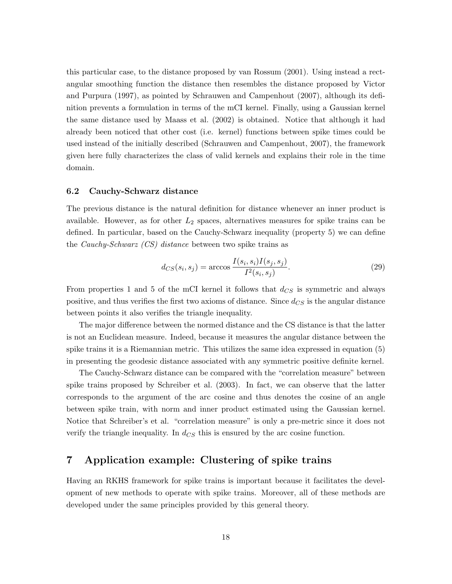this particular case, to the distance proposed by van Rossum (2001). Using instead a rectangular smoothing function the distance then resembles the distance proposed by Victor and Purpura (1997), as pointed by Schrauwen and Campenhout (2007), although its definition prevents a formulation in terms of the mCI kernel. Finally, using a Gaussian kernel the same distance used by Maass et al. (2002) is obtained. Notice that although it had already been noticed that other cost (i.e. kernel) functions between spike times could be used instead of the initially described (Schrauwen and Campenhout, 2007), the framework given here fully characterizes the class of valid kernels and explains their role in the time domain.

#### **6.2 Cauchy-Schwarz distance**

The previous distance is the natural definition for distance whenever an inner product is available. However, as for other *L*<sup>2</sup> spaces, alternatives measures for spike trains can be defined. In particular, based on the Cauchy-Schwarz inequality (property 5) we can define the *Cauchy-Schwarz (CS) distance* between two spike trains as

$$
d_{CS}(s_i, s_j) = \arccos \frac{I(s_i, s_i)I(s_j, s_j)}{I^2(s_i, s_j)}.
$$
\n(29)

From properties 1 and 5 of the mCI kernel it follows that *dCS* is symmetric and always positive, and thus verifies the first two axioms of distance. Since *dCS* is the angular distance between points it also verifies the triangle inequality.

The major difference between the normed distance and the CS distance is that the latter is not an Euclidean measure. Indeed, because it measures the angular distance between the spike trains it is a Riemannian metric. This utilizes the same idea expressed in equation (5) in presenting the geodesic distance associated with any symmetric positive definite kernel.

The Cauchy-Schwarz distance can be compared with the "correlation measure" between spike trains proposed by Schreiber et al. (2003). In fact, we can observe that the latter corresponds to the argument of the arc cosine and thus denotes the cosine of an angle between spike train, with norm and inner product estimated using the Gaussian kernel. Notice that Schreiber's et al. "correlation measure" is only a pre-metric since it does not verify the triangle inequality. In  $d_{CS}$  this is ensured by the arc cosine function.

## **7 Application example: Clustering of spike trains**

Having an RKHS framework for spike trains is important because it facilitates the development of new methods to operate with spike trains. Moreover, all of these methods are developed under the same principles provided by this general theory.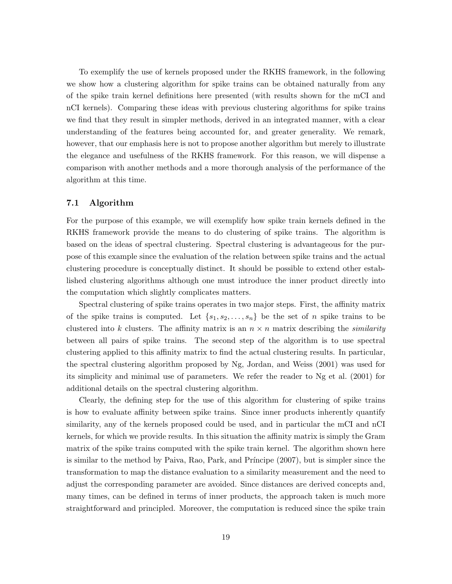To exemplify the use of kernels proposed under the RKHS framework, in the following we show how a clustering algorithm for spike trains can be obtained naturally from any of the spike train kernel definitions here presented (with results shown for the mCI and nCI kernels). Comparing these ideas with previous clustering algorithms for spike trains we find that they result in simpler methods, derived in an integrated manner, with a clear understanding of the features being accounted for, and greater generality. We remark, however, that our emphasis here is not to propose another algorithm but merely to illustrate the elegance and usefulness of the RKHS framework. For this reason, we will dispense a comparison with another methods and a more thorough analysis of the performance of the algorithm at this time.

#### **7.1 Algorithm**

For the purpose of this example, we will exemplify how spike train kernels defined in the RKHS framework provide the means to do clustering of spike trains. The algorithm is based on the ideas of spectral clustering. Spectral clustering is advantageous for the purpose of this example since the evaluation of the relation between spike trains and the actual clustering procedure is conceptually distinct. It should be possible to extend other established clustering algorithms although one must introduce the inner product directly into the computation which slightly complicates matters.

Spectral clustering of spike trains operates in two major steps. First, the affinity matrix of the spike trains is computed. Let  $\{s_1, s_2, \ldots, s_n\}$  be the set of *n* spike trains to be clustered into *k* clusters. The affinity matrix is an  $n \times n$  matrix describing the *similarity* between all pairs of spike trains. The second step of the algorithm is to use spectral clustering applied to this affinity matrix to find the actual clustering results. In particular, the spectral clustering algorithm proposed by Ng, Jordan, and Weiss (2001) was used for its simplicity and minimal use of parameters. We refer the reader to Ng et al. (2001) for additional details on the spectral clustering algorithm.

Clearly, the defining step for the use of this algorithm for clustering of spike trains is how to evaluate affinity between spike trains. Since inner products inherently quantify similarity, any of the kernels proposed could be used, and in particular the mCI and nCI kernels, for which we provide results. In this situation the affinity matrix is simply the Gram matrix of the spike trains computed with the spike train kernel. The algorithm shown here is similar to the method by Paiva, Rao, Park, and Príncipe (2007), but is simpler since the transformation to map the distance evaluation to a similarity measurement and the need to adjust the corresponding parameter are avoided. Since distances are derived concepts and, many times, can be defined in terms of inner products, the approach taken is much more straightforward and principled. Moreover, the computation is reduced since the spike train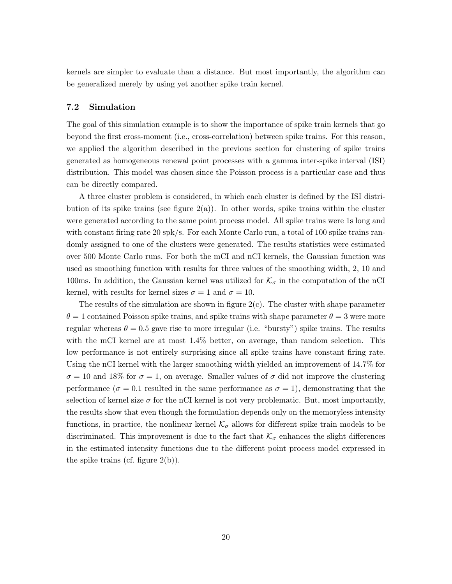kernels are simpler to evaluate than a distance. But most importantly, the algorithm can be generalized merely by using yet another spike train kernel.

#### **7.2 Simulation**

The goal of this simulation example is to show the importance of spike train kernels that go beyond the first cross-moment (i.e., cross-correlation) between spike trains. For this reason, we applied the algorithm described in the previous section for clustering of spike trains generated as homogeneous renewal point processes with a gamma inter-spike interval (ISI) distribution. This model was chosen since the Poisson process is a particular case and thus can be directly compared.

A three cluster problem is considered, in which each cluster is defined by the ISI distribution of its spike trains (see figure  $2(a)$ ). In other words, spike trains within the cluster were generated according to the same point process model. All spike trains were 1s long and with constant firing rate 20 spk/s. For each Monte Carlo run, a total of 100 spike trains randomly assigned to one of the clusters were generated. The results statistics were estimated over 500 Monte Carlo runs. For both the mCI and nCI kernels, the Gaussian function was used as smoothing function with results for three values of the smoothing width, 2, 10 and 100ms. In addition, the Gaussian kernel was utilized for  $\mathcal{K}_{\sigma}$  in the computation of the nCI kernel, with results for kernel sizes  $\sigma = 1$  and  $\sigma = 10$ .

The results of the simulation are shown in figure  $2(c)$ . The cluster with shape parameter  $\theta = 1$  contained Poisson spike trains, and spike trains with shape parameter  $\theta = 3$  were more regular whereas  $\theta = 0.5$  gave rise to more irregular (i.e. "bursty") spike trains. The results with the mCI kernel are at most 1.4% better, on average, than random selection. This low performance is not entirely surprising since all spike trains have constant firing rate. Using the nCI kernel with the larger smoothing width yielded an improvement of 14.7% for  $\sigma = 10$  and 18% for  $\sigma = 1$ , on average. Smaller values of  $\sigma$  did not improve the clustering performance ( $\sigma = 0.1$  resulted in the same performance as  $\sigma = 1$ ), demonstrating that the selection of kernel size  $\sigma$  for the nCI kernel is not very problematic. But, most importantly, the results show that even though the formulation depends only on the memoryless intensity functions, in practice, the nonlinear kernel  $K_{\sigma}$  allows for different spike train models to be discriminated. This improvement is due to the fact that  $K_{\sigma}$  enhances the slight differences in the estimated intensity functions due to the different point process model expressed in the spike trains (cf. figure  $2(b)$ ).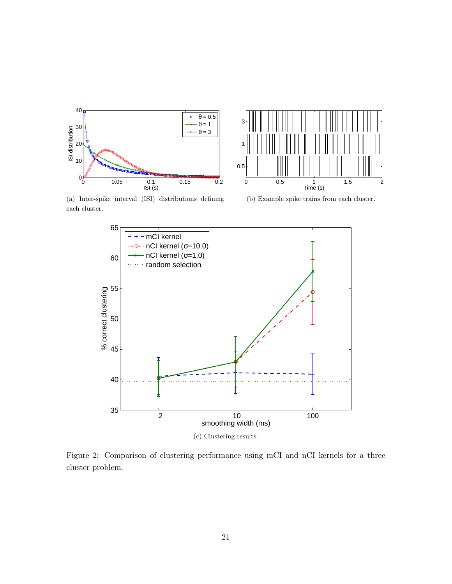



(a) Inter-spike interval (ISI) distributions defining each cluster.





Figure 2: Comparison of clustering performance using mCI and nCI kernels for a three cluster problem.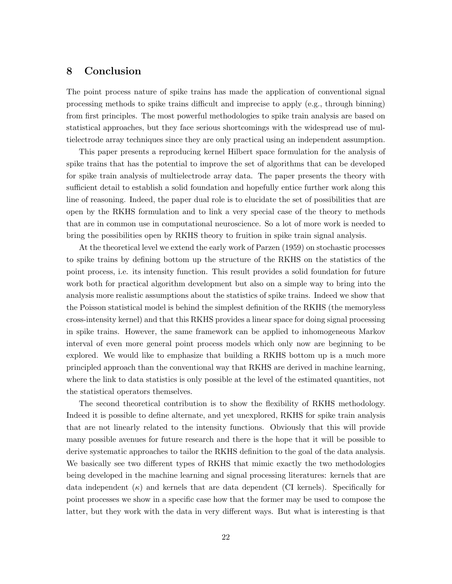### **8 Conclusion**

The point process nature of spike trains has made the application of conventional signal processing methods to spike trains difficult and imprecise to apply (e.g., through binning) from first principles. The most powerful methodologies to spike train analysis are based on statistical approaches, but they face serious shortcomings with the widespread use of multielectrode array techniques since they are only practical using an independent assumption.

This paper presents a reproducing kernel Hilbert space formulation for the analysis of spike trains that has the potential to improve the set of algorithms that can be developed for spike train analysis of multielectrode array data. The paper presents the theory with sufficient detail to establish a solid foundation and hopefully entice further work along this line of reasoning. Indeed, the paper dual role is to elucidate the set of possibilities that are open by the RKHS formulation and to link a very special case of the theory to methods that are in common use in computational neuroscience. So a lot of more work is needed to bring the possibilities open by RKHS theory to fruition in spike train signal analysis.

At the theoretical level we extend the early work of Parzen (1959) on stochastic processes to spike trains by defining bottom up the structure of the RKHS on the statistics of the point process, i.e. its intensity function. This result provides a solid foundation for future work both for practical algorithm development but also on a simple way to bring into the analysis more realistic assumptions about the statistics of spike trains. Indeed we show that the Poisson statistical model is behind the simplest definition of the RKHS (the memoryless cross-intensity kernel) and that this RKHS provides a linear space for doing signal processing in spike trains. However, the same framework can be applied to inhomogeneous Markov interval of even more general point process models which only now are beginning to be explored. We would like to emphasize that building a RKHS bottom up is a much more principled approach than the conventional way that RKHS are derived in machine learning, where the link to data statistics is only possible at the level of the estimated quantities, not the statistical operators themselves.

The second theoretical contribution is to show the flexibility of RKHS methodology. Indeed it is possible to define alternate, and yet unexplored, RKHS for spike train analysis that are not linearly related to the intensity functions. Obviously that this will provide many possible avenues for future research and there is the hope that it will be possible to derive systematic approaches to tailor the RKHS definition to the goal of the data analysis. We basically see two different types of RKHS that mimic exactly the two methodologies being developed in the machine learning and signal processing literatures: kernels that are data independent (*κ*) and kernels that are data dependent (CI kernels). Specifically for point processes we show in a specific case how that the former may be used to compose the latter, but they work with the data in very different ways. But what is interesting is that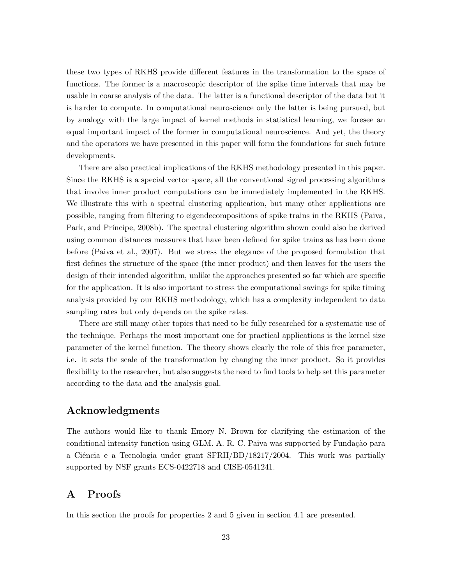these two types of RKHS provide different features in the transformation to the space of functions. The former is a macroscopic descriptor of the spike time intervals that may be usable in coarse analysis of the data. The latter is a functional descriptor of the data but it is harder to compute. In computational neuroscience only the latter is being pursued, but by analogy with the large impact of kernel methods in statistical learning, we foresee an equal important impact of the former in computational neuroscience. And yet, the theory and the operators we have presented in this paper will form the foundations for such future developments.

There are also practical implications of the RKHS methodology presented in this paper. Since the RKHS is a special vector space, all the conventional signal processing algorithms that involve inner product computations can be immediately implemented in the RKHS. We illustrate this with a spectral clustering application, but many other applications are possible, ranging from filtering to eigendecompositions of spike trains in the RKHS (Paiva, Park, and Príncipe, 2008b). The spectral clustering algorithm shown could also be derived using common distances measures that have been defined for spike trains as has been done before (Paiva et al., 2007). But we stress the elegance of the proposed formulation that first defines the structure of the space (the inner product) and then leaves for the users the design of their intended algorithm, unlike the approaches presented so far which are specific for the application. It is also important to stress the computational savings for spike timing analysis provided by our RKHS methodology, which has a complexity independent to data sampling rates but only depends on the spike rates.

There are still many other topics that need to be fully researched for a systematic use of the technique. Perhaps the most important one for practical applications is the kernel size parameter of the kernel function. The theory shows clearly the role of this free parameter, i.e. it sets the scale of the transformation by changing the inner product. So it provides flexibility to the researcher, but also suggests the need to find tools to help set this parameter according to the data and the analysis goal.

### **Acknowledgments**

The authors would like to thank Emory N. Brown for clarifying the estimation of the conditional intensity function using GLM. A. R. C. Paiva was supported by Fundação para a Ciência e a Tecnologia under grant SFRH/BD/18217/2004. This work was partially supported by NSF grants ECS-0422718 and CISE-0541241.

### **A Proofs**

In this section the proofs for properties 2 and 5 given in section 4.1 are presented.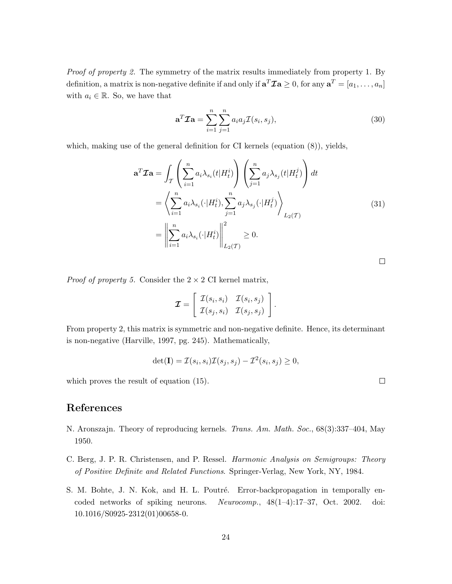*Proof of property 2.* The symmetry of the matrix results immediately from property 1. By definition, a matrix is non-negative definite if and only if  $\mathbf{a}^T \mathcal{I} \mathbf{a} \geq 0$ , for any  $\mathbf{a}^T = [a_1, \ldots, a_n]$ with  $a_i \in \mathbb{R}$ . So, we have that

$$
\mathbf{a}^T \mathcal{I} \mathbf{a} = \sum_{i=1}^n \sum_{j=1}^n a_i a_j \mathcal{I}(s_i, s_j), \qquad (30)
$$

which, making use of the general definition for CI kernels (equation (8)), yields,

$$
\mathbf{a}^T \mathcal{I} \mathbf{a} = \int_{\mathcal{T}} \left( \sum_{i=1}^n a_i \lambda_{s_i}(t) H_t^i \right) \left( \sum_{j=1}^n a_j \lambda_{s_j}(t) H_t^j \right) dt
$$
  
\n
$$
= \left\langle \sum_{i=1}^n a_i \lambda_{s_i}(\cdot) H_t^i \right\rangle, \sum_{j=1}^n a_j \lambda_{s_j}(\cdot) H_t^j \right\rangle_{L_2(\mathcal{T})}
$$
  
\n
$$
= \left\| \sum_{i=1}^n a_i \lambda_{s_i}(\cdot) H_t^i \right\|_{L_2(\mathcal{T})}^2 \ge 0.
$$
 (31)

*Proof of property 5.* Consider the 2 *×* 2 CI kernel matrix,

$$
\boldsymbol{\mathcal{I}} = \left[ \begin{array}{cc} \mathcal{I}(s_i,s_i) & \mathcal{I}(s_i,s_j) \\ \mathcal{I}(s_j,s_i) & \mathcal{I}(s_j,s_j) \end{array} \right].
$$

From property 2, this matrix is symmetric and non-negative definite. Hence, its determinant is non-negative (Harville, 1997, pg. 245). Mathematically,

$$
\det(\mathbf{I}) = \mathcal{I}(s_i, s_i)\mathcal{I}(s_j, s_j) - \mathcal{I}^2(s_i, s_j) \ge 0,
$$

which proves the result of equation (15).

### **References**

- N. Aronszajn. Theory of reproducing kernels. *Trans. Am. Math. Soc.*, 68(3):337–404, May 1950.
- C. Berg, J. P. R. Christensen, and P. Ressel. *Harmonic Analysis on Semigroups: Theory of Positive Definite and Related Functions*. Springer-Verlag, New York, NY, 1984.
- S. M. Bohte, J. N. Kok, and H. L. Poutré. Error-backpropagation in temporally encoded networks of spiking neurons. *Neurocomp.*, 48(1–4):17–37, Oct. 2002. doi: 10.1016/S0925-2312(01)00658-0.

 $\Box$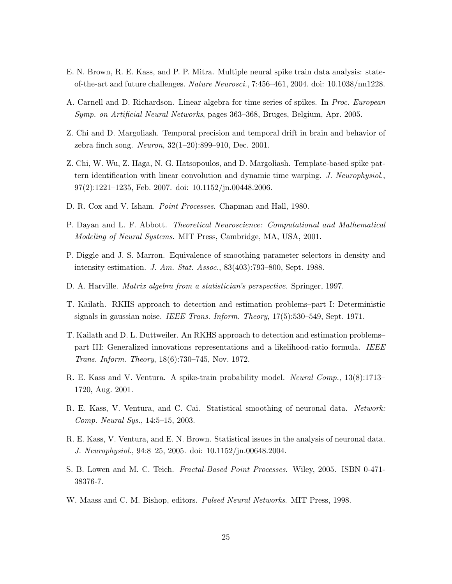- E. N. Brown, R. E. Kass, and P. P. Mitra. Multiple neural spike train data analysis: stateof-the-art and future challenges. *Nature Neurosci.*, 7:456–461, 2004. doi: 10.1038/nn1228.
- A. Carnell and D. Richardson. Linear algebra for time series of spikes. In *Proc. European Symp. on Artificial Neural Networks*, pages 363–368, Bruges, Belgium, Apr. 2005.
- Z. Chi and D. Margoliash. Temporal precision and temporal drift in brain and behavior of zebra finch song. *Neuron*, 32(1–20):899–910, Dec. 2001.
- Z. Chi, W. Wu, Z. Haga, N. G. Hatsopoulos, and D. Margoliash. Template-based spike pattern identification with linear convolution and dynamic time warping. *J. Neurophysiol.*, 97(2):1221–1235, Feb. 2007. doi: 10.1152/jn.00448.2006.
- D. R. Cox and V. Isham. *Point Processes*. Chapman and Hall, 1980.
- P. Dayan and L. F. Abbott. *Theoretical Neuroscience: Computational and Mathematical Modeling of Neural Systems*. MIT Press, Cambridge, MA, USA, 2001.
- P. Diggle and J. S. Marron. Equivalence of smoothing parameter selectors in density and intensity estimation. *J. Am. Stat. Assoc.*, 83(403):793–800, Sept. 1988.
- D. A. Harville. *Matrix algebra from a statistician's perspective*. Springer, 1997.
- T. Kailath. RKHS approach to detection and estimation problems–part I: Deterministic signals in gaussian noise. *IEEE Trans. Inform. Theory*, 17(5):530–549, Sept. 1971.
- T. Kailath and D. L. Duttweiler. An RKHS approach to detection and estimation problems– part III: Generalized innovations representations and a likelihood-ratio formula. *IEEE Trans. Inform. Theory*, 18(6):730–745, Nov. 1972.
- R. E. Kass and V. Ventura. A spike-train probability model. *Neural Comp.*, 13(8):1713– 1720, Aug. 2001.
- R. E. Kass, V. Ventura, and C. Cai. Statistical smoothing of neuronal data. *Network: Comp. Neural Sys.*, 14:5–15, 2003.
- R. E. Kass, V. Ventura, and E. N. Brown. Statistical issues in the analysis of neuronal data. *J. Neurophysiol.*, 94:8–25, 2005. doi: 10.1152/jn.00648.2004.
- S. B. Lowen and M. C. Teich. *Fractal-Based Point Processes*. Wiley, 2005. ISBN 0-471- 38376-7.
- W. Maass and C. M. Bishop, editors. *Pulsed Neural Networks*. MIT Press, 1998.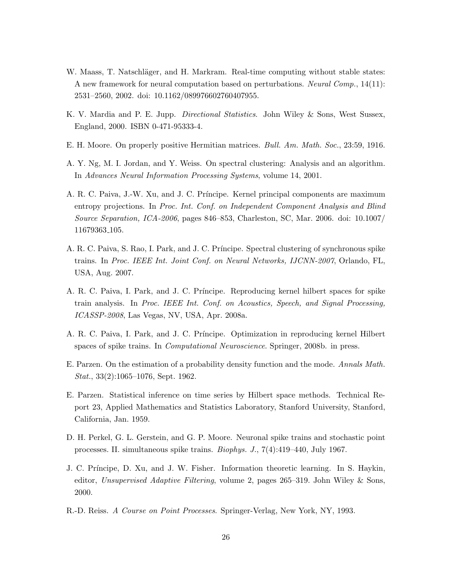- W. Maass, T. Natschläger, and H. Markram. Real-time computing without stable states: A new framework for neural computation based on perturbations. *Neural Comp.*, 14(11): 2531–2560, 2002. doi: 10.1162/089976602760407955.
- K. V. Mardia and P. E. Jupp. *Directional Statistics*. John Wiley & Sons, West Sussex, England, 2000. ISBN 0-471-95333-4.
- E. H. Moore. On properly positive Hermitian matrices. *Bull. Am. Math. Soc.*, 23:59, 1916.
- A. Y. Ng, M. I. Jordan, and Y. Weiss. On spectral clustering: Analysis and an algorithm. In *Advances Neural Information Processing Systems*, volume 14, 2001.
- A. R. C. Paiva, J.-W. Xu, and J. C. Príncipe. Kernel principal components are maximum entropy projections. In *Proc. Int. Conf. on Independent Component Analysis and Blind Source Separation, ICA-2006*, pages 846–853, Charleston, SC, Mar. 2006. doi: 10.1007/ 11679363 105.
- A. R. C. Paiva, S. Rao, I. Park, and J. C. Príncipe. Spectral clustering of synchronous spike trains. In *Proc. IEEE Int. Joint Conf. on Neural Networks, IJCNN-2007*, Orlando, FL, USA, Aug. 2007.
- A. R. C. Paiva, I. Park, and J. C. Pr´ıncipe. Reproducing kernel hilbert spaces for spike train analysis. In *Proc. IEEE Int. Conf. on Acoustics, Speech, and Signal Processing, ICASSP-2008*, Las Vegas, NV, USA, Apr. 2008a.
- A. R. C. Paiva, I. Park, and J. C. Pr´ıncipe. Optimization in reproducing kernel Hilbert spaces of spike trains. In *Computational Neuroscience*. Springer, 2008b. in press.
- E. Parzen. On the estimation of a probability density function and the mode. *Annals Math. Stat.*, 33(2):1065–1076, Sept. 1962.
- E. Parzen. Statistical inference on time series by Hilbert space methods. Technical Report 23, Applied Mathematics and Statistics Laboratory, Stanford University, Stanford, California, Jan. 1959.
- D. H. Perkel, G. L. Gerstein, and G. P. Moore. Neuronal spike trains and stochastic point processes. II. simultaneous spike trains. *Biophys. J.*, 7(4):419–440, July 1967.
- J. C. Príncipe, D. Xu, and J. W. Fisher. Information theoretic learning. In S. Haykin, editor, *Unsupervised Adaptive Filtering*, volume 2, pages 265–319. John Wiley & Sons, 2000.
- R.-D. Reiss. *A Course on Point Processes*. Springer-Verlag, New York, NY, 1993.